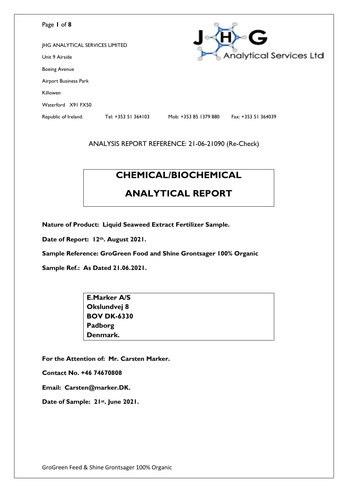| Page 1 of 8                            |                     |                       | G                              |
|----------------------------------------|---------------------|-----------------------|--------------------------------|
| <b>JHG ANALYTICAL SERVICES LIMITED</b> |                     |                       |                                |
| Unit 9 Airside                         |                     |                       | <b>Analytical Services Ltd</b> |
| <b>Boeing Avenue</b>                   |                     |                       |                                |
| Airport Business Park                  |                     |                       |                                |
| Killowen                               |                     |                       |                                |
| Waterford X91 FX50                     |                     |                       |                                |
| Republic of Ireland.                   | Tel: +353 51 364103 | Mob: +353 85 1379 880 | Fax: +353 51 364039            |

# **CHEMICAL/BIOCHEMICAL**

# **ANALYTICAL REPORT**

**Nature of Product: Liquid Seaweed Extract Fertilizer Sample.**

**Date of Report: 12th. August 2021.**

**Sample Reference: GroGreen Food and Shine Grontsager 100% Organic**

**Sample Ref.: As Dated 21.06.2021.**

| <b>E.Marker A/S</b> |  |
|---------------------|--|
| Okslundvej 8        |  |
| <b>BOV DK-6330</b>  |  |
| Padborg             |  |
| Denmark.            |  |

**For the Attention of: Mr. Carsten Marker.**

**Contact No. +46 74670808**

**Email: Carsten@marker.DK.**

**Date of Sample: 21st. June 2021.**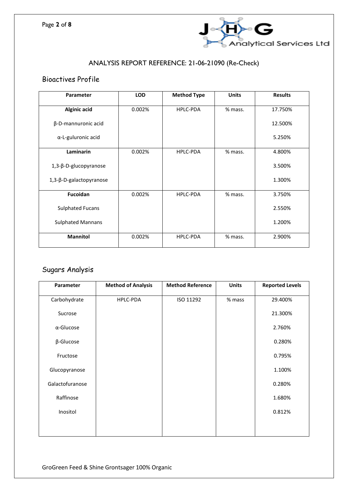

## Bioactives Profile

| Parameter                | <b>LOD</b> | <b>Method Type</b> | <b>Units</b> | <b>Results</b> |
|--------------------------|------------|--------------------|--------------|----------------|
| <b>Alginic acid</b>      | 0.002%     | <b>HPLC-PDA</b>    | % mass.      | 17.750%        |
| β-D-mannuronic acid      |            |                    |              | 12.500%        |
| α-L-guluronic acid       |            |                    |              | 5.250%         |
| Laminarin                | 0.002%     | HPLC-PDA           | % mass.      | 4.800%         |
| 1,3-β-D-glucopyranose    |            |                    |              | 3.500%         |
| 1,3-β-D-galactopyranose  |            |                    |              | 1.300%         |
| <b>Fucoidan</b>          | 0.002%     | <b>HPLC-PDA</b>    | % mass.      | 3.750%         |
| <b>Sulphated Fucans</b>  |            |                    |              | 2.550%         |
| <b>Sulphated Mannans</b> |            |                    |              | 1.200%         |
| <b>Mannitol</b>          | 0.002%     | <b>HPLC-PDA</b>    | % mass.      | 2.900%         |

# Sugars Analysis

| Parameter         | <b>Method of Analysis</b> | <b>Method Reference</b> | <b>Units</b> | <b>Reported Levels</b> |
|-------------------|---------------------------|-------------------------|--------------|------------------------|
| Carbohydrate      | HPLC-PDA                  | ISO 11292               | % mass       | 29.400%                |
| Sucrose           |                           |                         |              | 21.300%                |
| $\alpha$ -Glucose |                           |                         |              | 2.760%                 |
| $\beta$ -Glucose  |                           |                         |              | 0.280%                 |
| Fructose          |                           |                         |              | 0.795%                 |
| Glucopyranose     |                           |                         |              | 1.100%                 |
| Galactofuranose   |                           |                         |              | 0.280%                 |
| Raffinose         |                           |                         |              | 1.680%                 |
| Inositol          |                           |                         |              | 0.812%                 |
|                   |                           |                         |              |                        |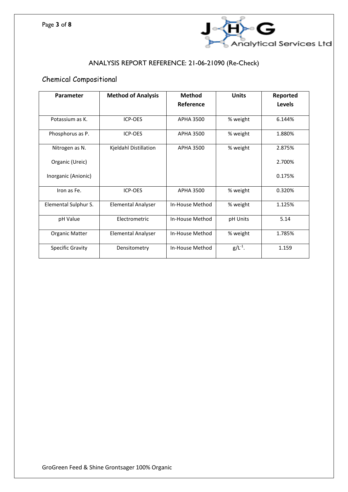

## Chemical Compositional

| Parameter             | <b>Method of Analysis</b> | <b>Method</b>    | <b>Units</b> | Reported |
|-----------------------|---------------------------|------------------|--------------|----------|
|                       |                           | Reference        |              | Levels   |
| Potassium as K.       | <b>ICP-OES</b>            | APHA 3500        | % weight     | 6.144%   |
| Phosphorus as P.      | ICP-OES                   | <b>APHA 3500</b> | % weight     | 1.880%   |
| Nitrogen as N.        | Kjeldahl Distillation     | <b>APHA 3500</b> | % weight     | 2.875%   |
| Organic (Ureic)       |                           |                  |              | 2.700%   |
| Inorganic (Anionic)   |                           |                  |              | 0.175%   |
| Iron as Fe.           | ICP-OES                   | <b>APHA 3500</b> | % weight     | 0.320%   |
| Elemental Sulphur S.  | <b>Elemental Analyser</b> | In-House Method  | % weight     | 1.125%   |
| pH Value              | Electrometric             | In-House Method  | pH Units     | 5.14     |
| <b>Organic Matter</b> | <b>Elemental Analyser</b> | In-House Method  | % weight     | 1.785%   |
| Specific Gravity      | Densitometry              | In-House Method  | $g/L^{-1}$ . | 1.159    |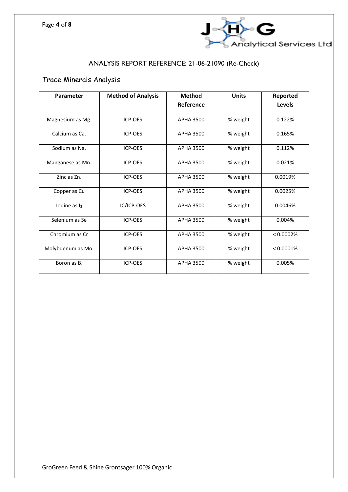

### Trace Minerals Analysis

| Parameter                | <b>Method of Analysis</b> | <b>Method</b>    | <b>Units</b> | Reported     |
|--------------------------|---------------------------|------------------|--------------|--------------|
|                          |                           | Reference        |              | Levels       |
| Magnesium as Mg.         | ICP-OES                   | APHA 3500        | % weight     | 0.122%       |
| Calcium as Ca.           | ICP-OES                   | <b>APHA 3500</b> | % weight     | 0.165%       |
| Sodium as Na.            | ICP-OES                   | <b>APHA 3500</b> | % weight     | 0.112%       |
| Manganese as Mn.         | ICP-OES                   | <b>APHA 3500</b> | % weight     | 0.021%       |
| Zinc as Zn.              | ICP-OES                   | <b>APHA 3500</b> | % weight     | 0.0019%      |
| Copper as Cu             | ICP-OES                   | <b>APHA 3500</b> | % weight     | 0.0025%      |
| Iodine as $\mathsf{I}_2$ | IC/ICP-OES                | <b>APHA 3500</b> | % weight     | 0.0046%      |
| Selenium as Se           | ICP-OES                   | <b>APHA 3500</b> | % weight     | 0.004%       |
| Chromium as Cr.          | <b>ICP-OES</b>            | APHA 3500        | % weight     | < 0.0002%    |
| Molybdenum as Mo.        | <b>ICP-OES</b>            | <b>APHA 3500</b> | % weight     | $< 0.0001\%$ |
| Boron as B.              | <b>ICP-OES</b>            | <b>APHA 3500</b> | % weight     | 0.005%       |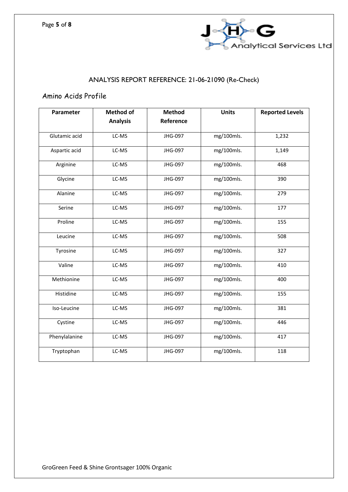

## Amino Acids Profile

| Parameter     | <b>Method of</b> | <b>Method</b> | <b>Units</b> | <b>Reported Levels</b> |
|---------------|------------------|---------------|--------------|------------------------|
|               | <b>Analysis</b>  | Reference     |              |                        |
| Glutamic acid | LC-MS            | JHG-097       | mg/100mls.   | 1,232                  |
| Aspartic acid | LC-MS            | JHG-097       | mg/100mls.   | 1,149                  |
| Arginine      | LC-MS            | JHG-097       | mg/100mls.   | 468                    |
| Glycine       | LC-MS            | JHG-097       | mg/100mls.   | 390                    |
| Alanine       | LC-MS            | JHG-097       | mg/100mls.   | 279                    |
| Serine        | LC-MS            | JHG-097       | mg/100mls.   | 177                    |
| Proline       | LC-MS            | JHG-097       | mg/100mls.   | 155                    |
| Leucine       | LC-MS            | JHG-097       | mg/100mls.   | 508                    |
| Tyrosine      | LC-MS            | JHG-097       | mg/100mls.   | 327                    |
| Valine        | LC-MS            | JHG-097       | mg/100mls.   | 410                    |
| Methionine    | LC-MS            | JHG-097       | mg/100mls.   | 400                    |
| Histidine     | LC-MS            | JHG-097       | mg/100mls.   | 155                    |
| Iso-Leucine   | LC-MS            | JHG-097       | mg/100mls.   | 381                    |
| Cystine       | LC-MS            | JHG-097       | mg/100mls.   | 446                    |
| Phenylalanine | LC-MS            | JHG-097       | mg/100mls.   | 417                    |
| Tryptophan    | LC-MS            | JHG-097       | mg/100mls.   | 118                    |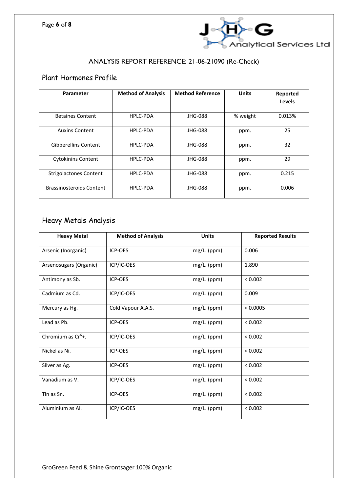

## Plant Hormones Profile

| Parameter                       | <b>Method of Analysis</b> | <b>Method Reference</b> | <b>Units</b> | Reported |
|---------------------------------|---------------------------|-------------------------|--------------|----------|
|                                 |                           |                         |              | Levels   |
| <b>Betaines Content</b>         | HPLC-PDA                  | JHG-088                 | % weight     | 0.013%   |
| <b>Auxins Content</b>           | HPLC-PDA                  | JHG-088                 | ppm.         | 25       |
| <b>Gibberellins Content</b>     | HPLC-PDA                  | JHG-088                 | ppm.         | 32       |
| <b>Cytokinins Content</b>       | HPLC-PDA                  | JHG-088                 | ppm.         | 29       |
| <b>Strigolactones Content</b>   | HPLC-PDA                  | JHG-088                 | ppm.         | 0.215    |
| <b>Brassinosteroids Content</b> | <b>HPLC-PDA</b>           | JHG-088                 | ppm.         | 0.006    |

### Heavy Metals Analysis

| <b>Heavy Metal</b>     | <b>Method of Analysis</b> | <b>Units</b>  | <b>Reported Results</b> |
|------------------------|---------------------------|---------------|-------------------------|
| Arsenic (Inorganic)    | ICP-OES                   | mg/L. (ppm)   | 0.006                   |
| Arsenosugars (Organic) | ICP/IC-OES                | mg/L. (ppm)   | 1.890                   |
| Antimony as Sb.        | ICP-OES                   | mg/L. (ppm)   | < 0.002                 |
| Cadmium as Cd.         | ICP/IC-OES                | $mg/L.$ (ppm) | 0.009                   |
| Mercury as Hg.         | Cold Vapour A.A.S.        | mg/L. (ppm)   | < 0.0005                |
| Lead as Pb.            | ICP-OES                   | mg/L. (ppm)   | < 0.002                 |
| Chromium as $Cr6$ +.   | ICP/IC-OES                | mg/L. (ppm)   | < 0.002                 |
| Nickel as Ni.          | ICP-OES                   | mg/L. (ppm)   | < 0.002                 |
| Silver as Ag.          | ICP-OES                   | mg/L. (ppm)   | < 0.002                 |
| Vanadium as V.         | ICP/IC-OES                | mg/L. (ppm)   | < 0.002                 |
| Tin as Sn.             | ICP-OES                   | mg/L. (ppm)   | < 0.002                 |
| Aluminium as Al.       | ICP/IC-OES                | mg/L. (ppm)   | < 0.002                 |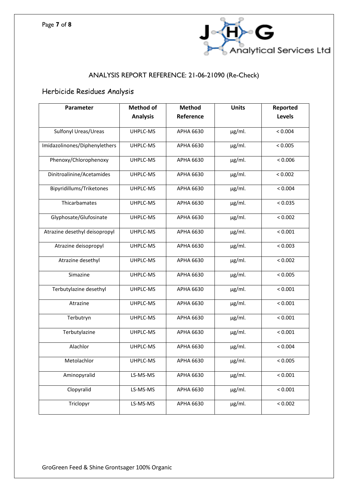

## Herbicide Residues Analysis

| Parameter                     | <b>Method of</b> | <b>Method</b>    | <b>Units</b> | Reported |
|-------------------------------|------------------|------------------|--------------|----------|
|                               | <b>Analysis</b>  | Reference        |              | Levels   |
| Sulfonyl Ureas/Ureas          | UHPLC-MS         | APHA 6630        | $\mu$ g/ml.  | < 0.004  |
| Imidazolinones/Diphenylethers | UHPLC-MS         | APHA 6630        | $\mu$ g/ml.  | < 0.005  |
| Phenoxy/Chlorophenoxy         | UHPLC-MS         | APHA 6630        | $\mu$ g/ml.  | < 0.006  |
| Dinitroalinine/Acetamides     | UHPLC-MS         | APHA 6630        | $\mu$ g/ml.  | < 0.002  |
| Bipyridillums/Triketones      | UHPLC-MS         | APHA 6630        | $\mu$ g/ml.  | < 0.004  |
| Thicarbamates                 | UHPLC-MS         | APHA 6630        | µg/ml.       | < 0.035  |
| Glyphosate/Glufosinate        | UHPLC-MS         | APHA 6630        | µg/ml.       | < 0.002  |
| Atrazine desethyl deisopropyl | UHPLC-MS         | APHA 6630        | µg/ml.       | < 0.001  |
| Atrazine deisopropyl          | UHPLC-MS         | APHA 6630        | µg/ml.       | < 0.003  |
| Atrazine desethyl             | UHPLC-MS         | APHA 6630        | µg/ml.       | < 0.002  |
| Simazine                      | UHPLC-MS         | APHA 6630        | µg/ml.       | < 0.005  |
| Terbutylazine desethyl        | UHPLC-MS         | APHA 6630        | µg/ml.       | < 0.001  |
| Atrazine                      | UHPLC-MS         | APHA 6630        | µg/ml.       | < 0.001  |
| Terbutryn                     | UHPLC-MS         | APHA 6630        | µg/ml.       | < 0.001  |
| Terbutylazine                 | UHPLC-MS         | APHA 6630        | µg/ml.       | < 0.001  |
| Alachlor                      | UHPLC-MS         | APHA 6630        | $\mu$ g/ml.  | < 0.004  |
| Metolachlor                   | UHPLC-MS         | APHA 6630        | $\mu$ g/ml.  | < 0.005  |
| Aminopyralid                  | LS-MS-MS         | <b>APHA 6630</b> | µg/ml.       | < 0.001  |
| Clopyralid                    | LS-MS-MS         | <b>APHA 6630</b> | µg/ml.       | < 0.001  |
| Triclopyr                     | LS-MS-MS         | <b>APHA 6630</b> | µg/ml.       | < 0.002  |